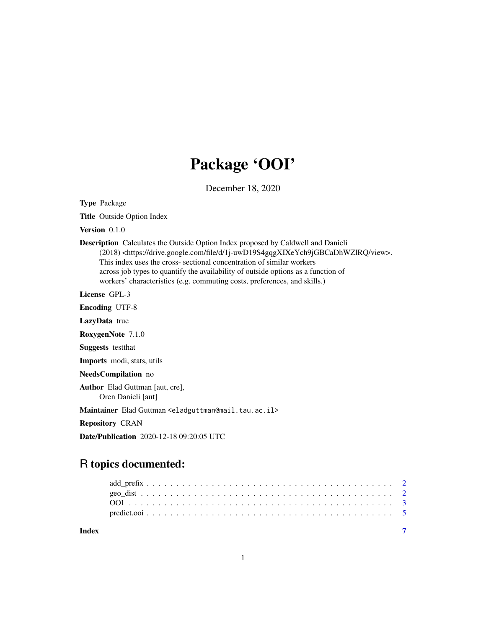## Package 'OOI'

December 18, 2020

Type Package

Title Outside Option Index

Version 0.1.0

Description Calculates the Outside Option Index proposed by Caldwell and Danieli (2018) <https://drive.google.com/file/d/1j-uwD19S4gqgXIXeYch9jGBCaDhWZlRQ/view>. This index uses the cross- sectional concentration of similar workers across job types to quantify the availability of outside options as a function of workers' characteristics (e.g. commuting costs, preferences, and skills.)

License GPL-3

Encoding UTF-8

LazyData true

RoxygenNote 7.1.0

Suggests testthat

Imports modi, stats, utils

NeedsCompilation no

Author Elad Guttman [aut, cre], Oren Danieli [aut]

Maintainer Elad Guttman <eladguttman@mail.tau.ac.il>

Repository CRAN

Date/Publication 2020-12-18 09:20:05 UTC

### R topics documented:

**Index** [7](#page-6-0) **7**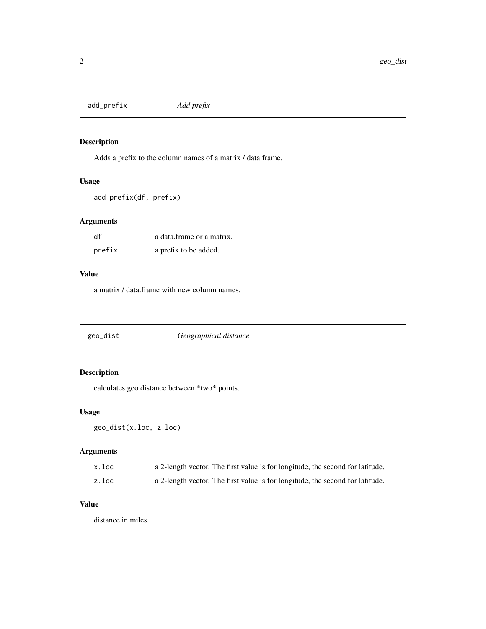<span id="page-1-0"></span>add\_prefix *Add prefix*

#### Description

Adds a prefix to the column names of a matrix / data.frame.

#### Usage

add\_prefix(df, prefix)

#### Arguments

| df     | a data frame or a matrix. |
|--------|---------------------------|
| prefix | a prefix to be added.     |

#### Value

a matrix / data.frame with new column names.

<span id="page-1-1"></span>

| geo_dist | Geographical distance |
|----------|-----------------------|
|----------|-----------------------|

#### Description

calculates geo distance between \*two\* points.

#### Usage

```
geo_dist(x.loc, z.loc)
```
#### Arguments

| x.loc | a 2-length vector. The first value is for longitude, the second for latitude. |
|-------|-------------------------------------------------------------------------------|
| z.loc | a 2-length vector. The first value is for longitude, the second for latitude. |

#### Value

distance in miles.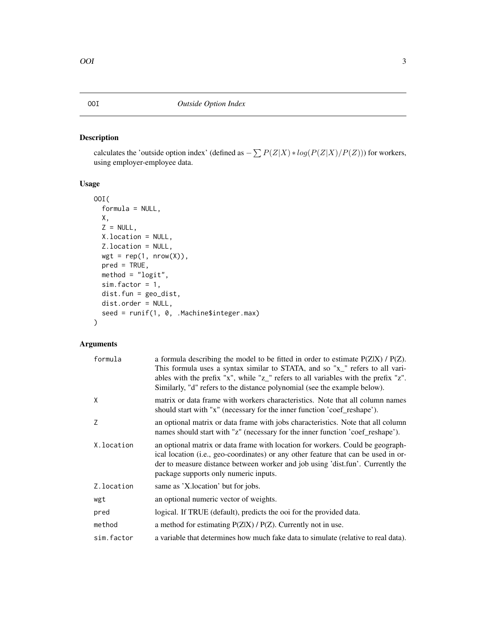#### <span id="page-2-0"></span>Description

calculates the 'outside option index' (defined as  $-\sum P(Z|X) * log(P(Z|X)/P(Z))$ ) for workers, using employer-employee data.

#### Usage

```
OOI(
  formula = NULL,
 X,
 Z = NULL,X.location = NULL,
 Z.location = NULL,
 wgt = rep(1, nrow(X)),pred = TRUE,
 method = "logit",
 sim.factor = 1,
 dist.fun = geo_dist,
 dist.order = NULL,
  seed = runif(1, 0, .Machine$integer.max)
)
```
#### Arguments

| formula    | a formula describing the model to be fitted in order to estimate $P(Z X)$ / $P(Z)$ .<br>This formula uses a syntax similar to STATA, and so "x_" refers to all vari-<br>ables with the prefix "x", while "z_" refers to all variables with the prefix "z".<br>Similarly, "d" refers to the distance polynomial (see the example below). |
|------------|-----------------------------------------------------------------------------------------------------------------------------------------------------------------------------------------------------------------------------------------------------------------------------------------------------------------------------------------|
| X          | matrix or data frame with workers characteristics. Note that all column names<br>should start with "x" (necessary for the inner function 'coef_reshape').                                                                                                                                                                               |
| Z          | an optional matrix or data frame with jobs characteristics. Note that all column<br>names should start with "z" (necessary for the inner function 'coef_reshape').                                                                                                                                                                      |
| X.location | an optional matrix or data frame with location for workers. Could be geograph-<br>ical location (i.e., geo-coordinates) or any other feature that can be used in or-<br>der to measure distance between worker and job using 'dist.fun'. Currently the<br>package supports only numeric inputs.                                         |
| Z.location | same as 'X.location' but for jobs.                                                                                                                                                                                                                                                                                                      |
| wgt        | an optional numeric vector of weights.                                                                                                                                                                                                                                                                                                  |
| pred       | logical. If TRUE (default), predicts the ooi for the provided data.                                                                                                                                                                                                                                                                     |
| method     | a method for estimating $P(Z X)$ / $P(Z)$ . Currently not in use.                                                                                                                                                                                                                                                                       |
| sim.factor | a variable that determines how much fake data to simulate (relative to real data).                                                                                                                                                                                                                                                      |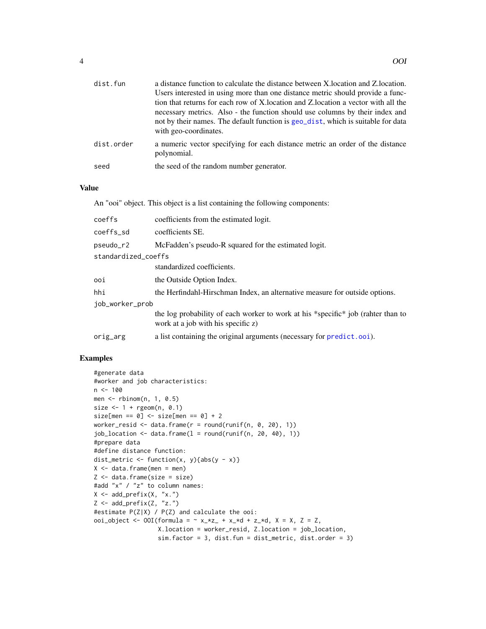<span id="page-3-0"></span>

| dist.fun   | a distance function to calculate the distance between X. location and Z. location.                                                                                                        |
|------------|-------------------------------------------------------------------------------------------------------------------------------------------------------------------------------------------|
|            | Users interested in using more than one distance metric should provide a func-                                                                                                            |
|            | tion that returns for each row of X. location and Z. location a vector with all the                                                                                                       |
|            | necessary metrics. Also - the function should use columns by their index and<br>not by their names. The default function is geo_dist, which is suitable for data<br>with geo-coordinates. |
| dist.order | a numeric vector specifying for each distance metric an order of the distance<br>polynomial.                                                                                              |
| seed       | the seed of the random number generator.                                                                                                                                                  |

#### Value

An "ooi" object. This object is a list containing the following components:

| coeffs              | coefficients from the estimated logit.                                                                                 |
|---------------------|------------------------------------------------------------------------------------------------------------------------|
| coeffs sd           | coefficients SE.                                                                                                       |
| pseudo_r2           | McFadden's pseudo-R squared for the estimated logit.                                                                   |
| standardized_coeffs |                                                                                                                        |
|                     | standardized coefficients.                                                                                             |
| ooi                 | the Outside Option Index.                                                                                              |
| hhi                 | the Herfindahl-Hirschman Index, an alternative measure for outside options.                                            |
| job_worker_prob     |                                                                                                                        |
|                     | the log probability of each worker to work at his *specific* job (rahter than to<br>work at a job with his specific z) |
| orig_arg            | a list containing the original arguments (necessary for predict.ooi).                                                  |
|                     |                                                                                                                        |

#### Examples

```
#generate data
#worker and job characteristics:
n < -100men \leq- rbinom(n, 1, 0.5)size \leq -1 + \text{rgeom}(n, 0.1)size[men == 0] \leftarrow size[men == 0] + 2worker_resid <- data.frame(r = round(runit(n, 0, 20), 1))
job\_location \leftarrow data frame(1 = round(runif(n, 20, 40), 1))#prepare data
#define distance function:
dist_metric <- function(x, y){abs(y - x)}
X \leftarrow data . frame(men = men)Z \leftarrow data.frame(size = size)
#add "x" / "z" to column names:
X \leftarrow add\_prefix(X, "x.")Z <- add_prefix(Z, "z.")
#estimate P(Z|X) / P(Z) and calculate the ooi:
ooi_object <- 00I(formula = \sim x_*z_ + x_*d + z_*d, X = X, Z = Z,
                   X.location = worker_resid, Z.location = job_location,
                   sim.factor = 3, dist.fun = dist_metric, dist.order = 3)
```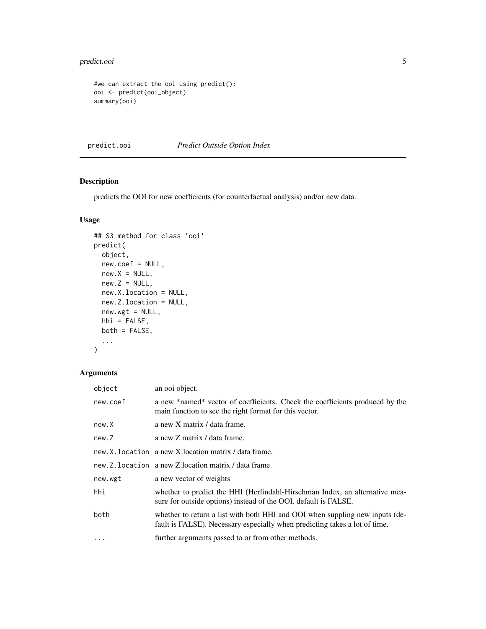#### <span id="page-4-0"></span>predict.ooi 5

```
#we can extract the ooi using predict():
ooi <- predict(ooi_object)
summary(ooi)
```
<span id="page-4-1"></span>predict.ooi *Predict Outside Option Index*

#### Description

predicts the OOI for new coefficients (for counterfactual analysis) and/or new data.

#### Usage

```
## S3 method for class 'ooi'
predict(
 object,
 new.coef = NULL,
 new.X = NULL,new.Z = NULL,new.X.location = NULL,
 new.Z.location = NULL,
 new.wgt = NULL,hhi = FALSE,both = FALSE,
  ...
)
```
#### Arguments

| object   | an ooi object.                                                                                                                                             |
|----------|------------------------------------------------------------------------------------------------------------------------------------------------------------|
| new.coef | a new *named* vector of coefficients. Check the coefficients produced by the<br>main function to see the right format for this vector.                     |
| new.X    | a new X matrix / data frame.                                                                                                                               |
| new.Z    | a new Z matrix / data frame.                                                                                                                               |
|          | new.X.location a new X.location matrix / data frame.                                                                                                       |
|          | new.Z.location a new Z.location matrix / data frame.                                                                                                       |
| new.wgt  | a new vector of weights                                                                                                                                    |
| hhi      | whether to predict the HHI (Herfindahl-Hirschman Index, an alternative mea-<br>sure for outside options) instead of the OOI. default is FALSE.             |
| both     | whether to return a list with both HHI and OOI when suppling new inputs (de-<br>fault is FALSE). Necessary especially when predicting takes a lot of time. |
| $\cdots$ | further arguments passed to or from other methods.                                                                                                         |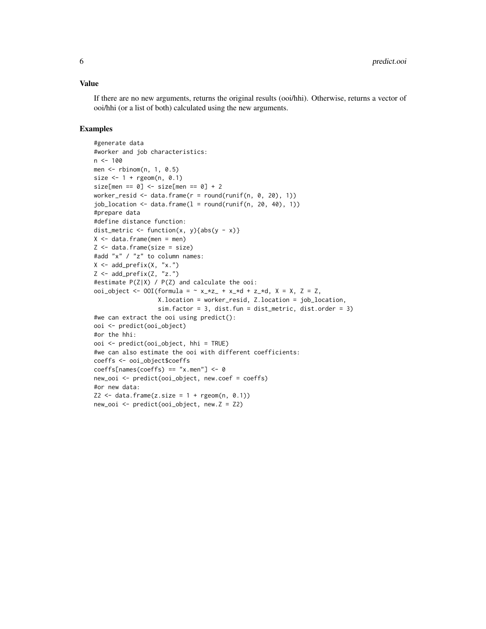#### Value

If there are no new arguments, returns the original results (ooi/hhi). Otherwise, returns a vector of ooi/hhi (or a list of both) calculated using the new arguments.

#### Examples

```
#generate data
#worker and job characteristics:
n < -100men <- rbinom(n, 1, 0.5)
size \leq -1 + \text{rgeom}(n, 0.1)size[men == 0] \leftarrow size[men == 0] + 2worker_resid <- data.frame(r = round(runit(n, 0, 20), 1))
job\_location \leftarrow data-frame(1 = round(runif(n, 20, 40), 1))#prepare data
#define distance function:
dist_metric <- function(x, y){abs(y - x)}
X \le - data.frame(men = men)
Z \leftarrow data-frame(size = size)#add "x" / "z" to column names:
X <- add_prefix(X, "x.")
Z <- add_prefix(Z, "z.")
#estimate P(Z|X) / P(Z) and calculate the ooi:
ooi_object <- 00I(formula = \sim x_*z_ + x_*d + z_*d, X = X, Z = Z,
                  X.location = worker_resid, Z.location = job_location,
                   sim.factor = 3, dist.fun = dist_metric, dist.order = 3)
#we can extract the ooi using predict():
ooi <- predict(ooi_object)
#or the hhi:
ooi <- predict(ooi_object, hhi = TRUE)
#we can also estimate the ooi with different coefficients:
coeffs <- ooi_object$coeffs
coeffs[names(coeffs) == "x.men"] \leftarrow 0new_ooi <- predict(ooi_object, new.coef = coeffs)
#or new data:
Z2 \leq - data.frame(z.size = 1 + rgeom(n, 0.1))
new_ooi <- predict(ooi_object, new.Z = Z2)
```